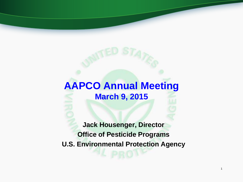#### **AAPCO Annual Meeting March 9, 2015**

**Jack Housenger, Director Office of Pesticide Programs U.S. Environmental Protection Agency**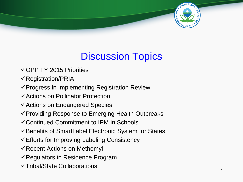

#### Discussion Topics

- $\checkmark$  OPP FY 2015 Priorities
- $\checkmark$  Registration/PRIA
- $\checkmark$  Progress in Implementing Registration Review
- Actions on Pollinator Protection
- Actions on Endangered Species
- $\checkmark$  Providing Response to Emerging Health Outbreaks
- Continued Commitment to IPM in Schools
- $\checkmark$  Benefits of SmartLabel Electronic System for States
- $\checkmark$  Efforts for Improving Labeling Consistency
- $\checkmark$  Recent Actions on Methomyl
- $\checkmark$  Regulators in Residence Program
- $\checkmark$ Tribal/State Collaborations  $\frac{2}{3}$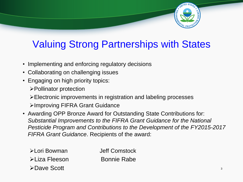

#### Valuing Strong Partnerships with States

- Implementing and enforcing regulatory decisions
- Collaborating on challenging issues
- Engaging on high priority topics:
	- Pollinator protection
	- Electronic improvements in registration and labeling processes

Improving FIFRA Grant Guidance

• Awarding OPP Bronze Award for Outstanding State Contributions for: *Substantial Improvements to the FIFRA Grant Guidance for the National Pesticide Program and Contributions to the Development of the FY2015-2017 FIFRA Grant Guidance*. Recipients of the award:

| ≻Lori Bowman  | Jeff Comstock      |  |
|---------------|--------------------|--|
| ≻Liza Fleeson | <b>Bonnie Rabe</b> |  |
| ≻Dave Scott   |                    |  |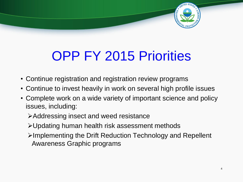

# OPP FY 2015 Priorities

- Continue registration and registration review programs
- Continue to invest heavily in work on several high profile issues
- Complete work on a wide variety of important science and policy issues, including:
	- Addressing insect and weed resistance
	- Updating human health risk assessment methods
	- Implementing the Drift Reduction Technology and Repellent Awareness Graphic programs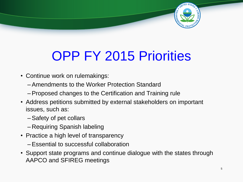

# OPP FY 2015 Priorities

- Continue work on rulemakings:
	- –Amendments to the Worker Protection Standard
	- –Proposed changes to the Certification and Training rule
- Address petitions submitted by external stakeholders on important issues, such as:
	- –Safety of pet collars
	- –Requiring Spanish labeling
- Practice a high level of transparency
	- –Essential to successful collaboration
- Support state programs and continue dialogue with the states through AAPCO and SFIREG meetings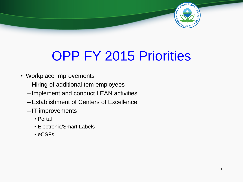

# OPP FY 2015 Priorities

- Workplace Improvements
	- –Hiring of additional tem employees
	- Implement and conduct LEAN activities
	- –Establishment of Centers of Excellence
	- IT improvements
		- Portal
		- Electronic/Smart Labels
		- eCSFs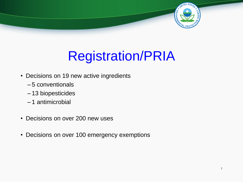

# Registration/PRIA

- Decisions on 19 new active ingredients
	- 5 conventionals
	- 13 biopesticides
	- 1 antimicrobial
- Decisions on over 200 new uses
- Decisions on over 100 emergency exemptions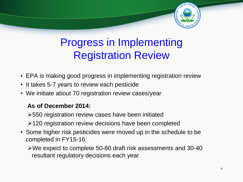

### Progress in Implementing Registration Review

- EPA is making good progress in implementing registration review
- It takes 5-7 years to review each pesticide
- We initiate about 70 registration review cases/year

#### **As of December 2014:**

550 registration review cases have been initiated 120 registration review decisions have been completed

• Some higher risk pesticides were moved up in the schedule to be completed in FY15-16:

We expect to complete 50-60 draft risk assessments and 30-40 resultant regulatory decisions each year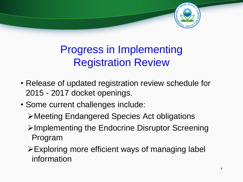

### Progress in Implementing Registration Review

- Release of updated registration review schedule for 2015 - 2017 docket openings.
- Some current challenges include:
	- Meeting Endangered Species Act obligations
	- **≻Implementing the Endocrine Disruptor Screening** Program
	- Exploring more efficient ways of managing label information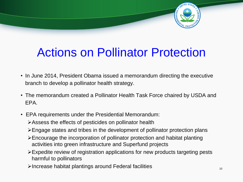

## Actions on Pollinator Protection

- In June 2014, President Obama issued a memorandum directing the executive branch to develop a pollinator health strategy.
- The memorandum created a Pollinator Health Task Force chaired by USDA and EPA.
- EPA requirements under the Presidential Memorandum:
	- Assess the effects of pesticides on pollinator health
	- Engage states and tribes in the development of pollinator protection plans
	- Encourage the incorporation of pollinator protection and habitat planting activities into green infrastructure and Superfund projects
	- Expedite review of registration applications for new products targeting pests harmful to pollinators
	- Increase habitat plantings around Federal facilities <sup>10</sup>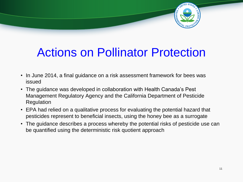

## Actions on Pollinator Protection

- In June 2014, a final guidance on a risk assessment framework for bees was issued
- The guidance was developed in collaboration with Health Canada's Pest Management Regulatory Agency and the California Department of Pesticide Regulation
- EPA had relied on a qualitative process for evaluating the potential hazard that pesticides represent to beneficial insects, using the honey bee as a surrogate
- The guidance describes a process whereby the potential risks of pesticide use can be quantified using the deterministic risk quotient approach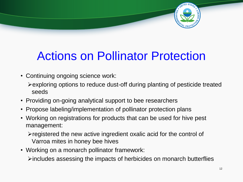

## Actions on Pollinator Protection

- Continuing ongoing science work:
	- $\triangleright$  exploring options to reduce dust-off during planting of pesticide treated seeds
- Providing on-going analytical support to bee researchers
- Propose labeling/implementation of pollinator protection plans
- Working on registrations for products that can be used for hive pest management:

 $\triangleright$  registered the new active ingredient oxalic acid for the control of Varroa mites in honey bee hives

• Working on a monarch pollinator framework:

 $\triangleright$  includes assessing the impacts of herbicides on monarch butterflies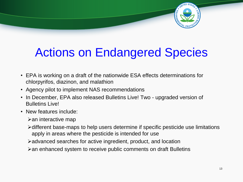

## Actions on Endangered Species

- EPA is working on a draft of the nationwide ESA effects determinations for chlorpyrifos, diazinon, and malathion
- Agency pilot to implement NAS recommendations
- In December, EPA also released Bulletins Live! Two upgraded version of Bulletins Live!
- New features include:
	- $\triangleright$  an interactive map
	- different base-maps to help users determine if specific pesticide use limitations apply in areas where the pesticide is intended for use
	- $\blacktriangleright$  advanced searches for active ingredient, product, and location
	- an enhanced system to receive public comments on draft Bulletins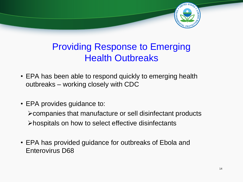

#### Providing Response to Emerging Health Outbreaks

- EPA has been able to respond quickly to emerging health outbreaks – working closely with CDC
- EPA provides guidance to:

companies that manufacture or sell disinfectant products hospitals on how to select effective disinfectants

• EPA has provided guidance for outbreaks of Ebola and Enterovirus D68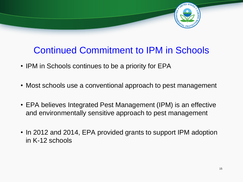

#### Continued Commitment to IPM in Schools

- IPM in Schools continues to be a priority for EPA
- Most schools use a conventional approach to pest management
- EPA believes Integrated Pest Management (IPM) is an effective and environmentally sensitive approach to pest management
- In 2012 and 2014, EPA provided grants to support IPM adoption in K-12 schools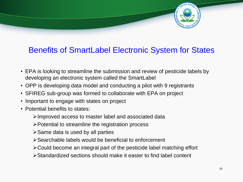

#### Benefits of SmartLabel Electronic System for States

- EPA is looking to streamline the submission and review of pesticide labels by developing an electronic system called the SmartLabel
- OPP is developing data model and conducting a pilot with 9 registrants
- SFIREG sub-group was formed to collaborate with EPA on project
- Important to engage with states on project
- Potential benefits to states:
	- Improved access to master label and associated data
	- $\triangleright$  Potential to streamline the registration process
	- $\triangleright$  Same data is used by all parties
	- Searchable labels would be beneficial to enforcement
	- Could become an integral part of the pesticide label matching effort
	- Standardized sections should make it easier to find label content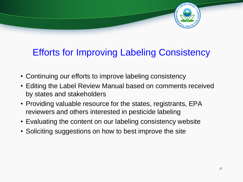

#### Efforts for Improving Labeling Consistency

- Continuing our efforts to improve labeling consistency
- Editing the Label Review Manual based on comments received by states and stakeholders
- Providing valuable resource for the states, registrants, EPA reviewers and others interested in pesticide labeling
- Evaluating the content on our labeling consistency website
- Soliciting suggestions on how to best improve the site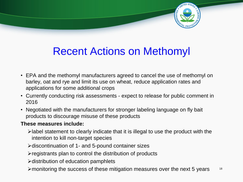

### Recent Actions on Methomyl

- EPA and the methomyl manufacturers agreed to cancel the use of methomyl on barley, oat and rye and limit its use on wheat, reduce application rates and applications for some additional crops
- Currently conducting risk assessments expect to release for public comment in 2016
- Negotiated with the manufacturers for stronger labeling language on fly bait products to discourage misuse of these products

#### **These measures include:**

- label statement to clearly indicate that it is illegal to use the product with the intention to kill non-target species
- $\triangleright$  discontinuation of 1- and 5-pound container sizes
- $\triangleright$  registrants plan to control the distribution of products
- $\triangleright$  distribution of education pamphlets
- $\blacktriangleright$  monitoring the success of these mitigation measures over the next 5 years  $18$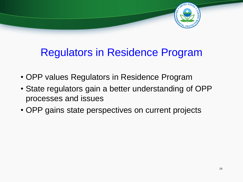

### Regulators in Residence Program

- OPP values Regulators in Residence Program
- State regulators gain a better understanding of OPP processes and issues
- OPP gains state perspectives on current projects